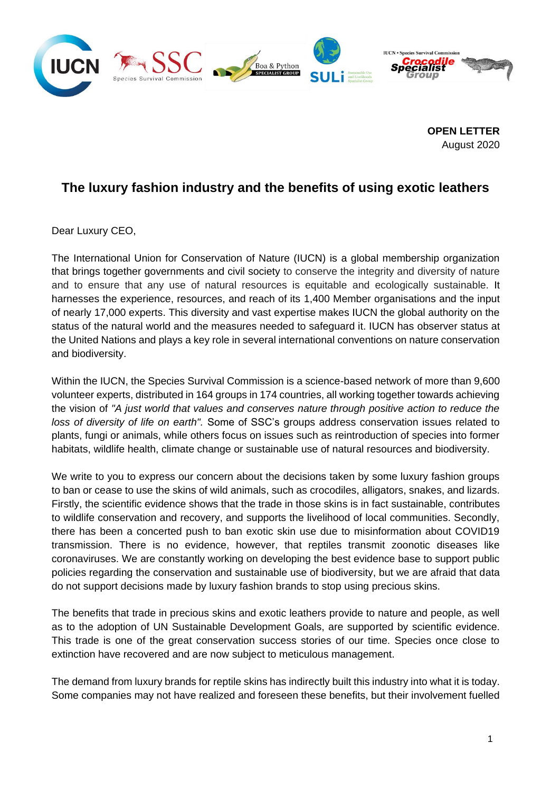

**OPEN LETTER** August 2020

## **The luxury fashion industry and the benefits of using exotic leathers**

Dear Luxury CEO,

The International Union for Conservation of Nature (IUCN) is a global membership organization that brings together governments and civil society to conserve the integrity and diversity of nature and to ensure that any use of natural resources is equitable and ecologically sustainable. It harnesses the experience, resources, and reach of its [1,400 Member organisations](https://www.iucn.org/about/union/members) and the input of nearly [17,000 experts.](https://www.iucn.org/about/iucn-commissions) This diversity and vast expertise makes IUCN the global authority on the status of the natural world and the measures needed to safeguard it. IUCN has [observer](https://en.wikipedia.org/wiki/Observer_status#United_Nations) [status](https://en.wikipedia.org/wiki/Consultative_status) at the [United Nations](https://en.wikipedia.org/wiki/United_Nations) and plays a key role in several international conventions on nature conservation and [biodiversity.](https://en.wikipedia.org/wiki/Biodiversity)

Within the IUCN, the Species Survival Commission is a science-based network of more than 9,600 volunteer experts, distributed in 164 groups in 174 countries, all working together towards achieving the vision of *"A just world that values and conserves nature through positive action to reduce the loss of diversity of life on earth".* Some of SSC's groups address conservation issues related to plants, fungi or animals, while others focus on issues such as reintroduction of species into former habitats, wildlife health, climate change or sustainable use of natural resources and biodiversity.

We write to you to express our concern about the decisions taken by some luxury fashion groups to ban or cease to use the skins of wild animals, such as crocodiles, alligators, snakes, and lizards. Firstly, the scientific evidence shows that the trade in those skins is in fact sustainable, contributes to wildlife conservation and recovery, and supports the livelihood of local communities. Secondly, there has been a concerted push to ban exotic skin use due to misinformation about COVID19 transmission. There is no evidence, however, that reptiles transmit zoonotic diseases like coronaviruses. We are constantly working on developing the best evidence base to support public policies regarding the conservation and sustainable use of biodiversity, but we are afraid that data do not support decisions made by luxury fashion brands to stop using precious skins.

The benefits that trade in precious skins and exotic leathers provide to nature and people, as well as to the adoption of UN Sustainable Development Goals, are supported by scientific evidence. This trade is one of the great conservation success stories of our time. Species once close to extinction have recovered and are now subject to meticulous management.

The demand from luxury brands for reptile skins has indirectly built this industry into what it is today. Some companies may not have realized and foreseen these benefits, but their involvement fuelled